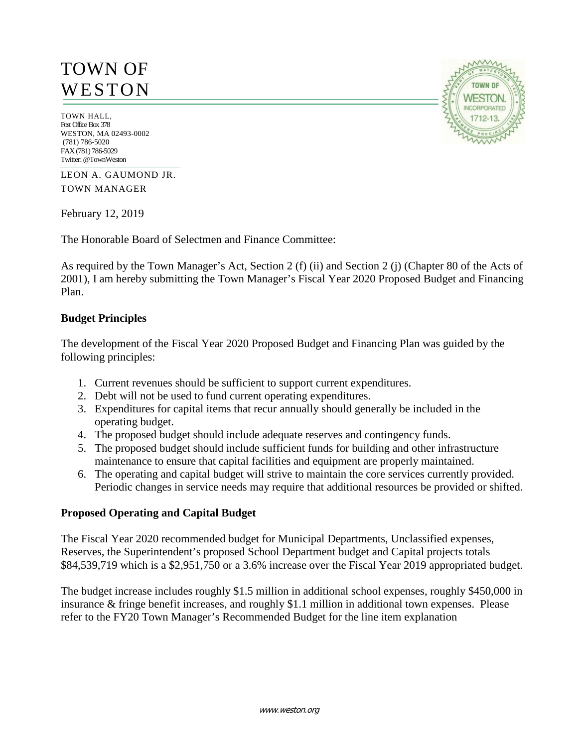# TOWN OF **WESTON**

TOWN HALL, Post Office Box 378 WESTON, MA 02493-0002 (781) 786-5020 FAX (781) 786-5029 Twitter: @TownWeston

LEON A. GAUMOND JR. TOWN MANAGER

February 12, 2019

The Honorable Board of Selectmen and Finance Committee:

As required by the Town Manager's Act, Section 2 (f) (ii) and Section 2 (j) (Chapter 80 of the Acts of 2001), I am hereby submitting the Town Manager's Fiscal Year 2020 Proposed Budget and Financing Plan.

## **Budget Principles**

The development of the Fiscal Year 2020 Proposed Budget and Financing Plan was guided by the following principles:

- 1. Current revenues should be sufficient to support current expenditures.
- 2. Debt will not be used to fund current operating expenditures.
- 3. Expenditures for capital items that recur annually should generally be included in the operating budget.
- 4. The proposed budget should include adequate reserves and contingency funds.
- 5. The proposed budget should include sufficient funds for building and other infrastructure maintenance to ensure that capital facilities and equipment are properly maintained.
- 6. The operating and capital budget will strive to maintain the core services currently provided. Periodic changes in service needs may require that additional resources be provided or shifted.

## **Proposed Operating and Capital Budget**

The Fiscal Year 2020 recommended budget for Municipal Departments, Unclassified expenses, Reserves, the Superintendent's proposed School Department budget and Capital projects totals \$84,539,719 which is a \$2,951,750 or a 3.6% increase over the Fiscal Year 2019 appropriated budget.

The budget increase includes roughly \$1.5 million in additional school expenses, roughly \$450,000 in insurance & fringe benefit increases, and roughly \$1.1 million in additional town expenses. Please refer to the FY20 Town Manager's Recommended Budget for the line item explanation

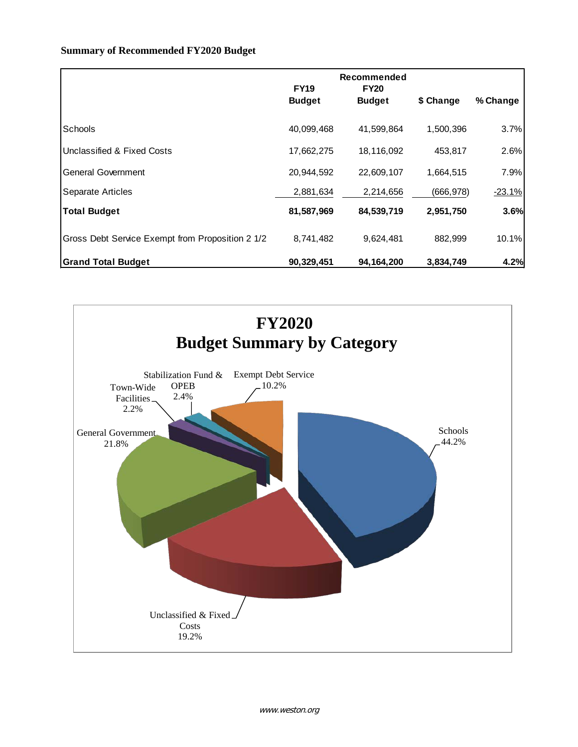#### **Summary of Recommended FY2020 Budget**

|                                                  | <b>FY19</b><br><b>Budget</b> | Recommended<br><b>FY20</b><br><b>Budget</b> | \$ Change  | % Change |
|--------------------------------------------------|------------------------------|---------------------------------------------|------------|----------|
|                                                  |                              |                                             |            |          |
| Schools                                          | 40,099,468                   | 41,599,864                                  | 1,500,396  | 3.7%     |
| Unclassified & Fixed Costs                       | 17,662,275                   | 18,116,092                                  | 453,817    | 2.6%     |
| General Government                               | 20,944,592                   | 22,609,107                                  | 1,664,515  | 7.9%     |
| Separate Articles                                | 2,881,634                    | 2,214,656                                   | (666, 978) | $-23.1%$ |
| <b>Total Budget</b>                              | 81,587,969                   | 84,539,719                                  | 2,951,750  | 3.6%     |
| Gross Debt Service Exempt from Proposition 2 1/2 | 8,741,482                    | 9,624,481                                   | 882,999    | 10.1%    |
| <b>Grand Total Budget</b>                        | 90,329,451                   | 94,164,200                                  | 3,834,749  | 4.2%     |

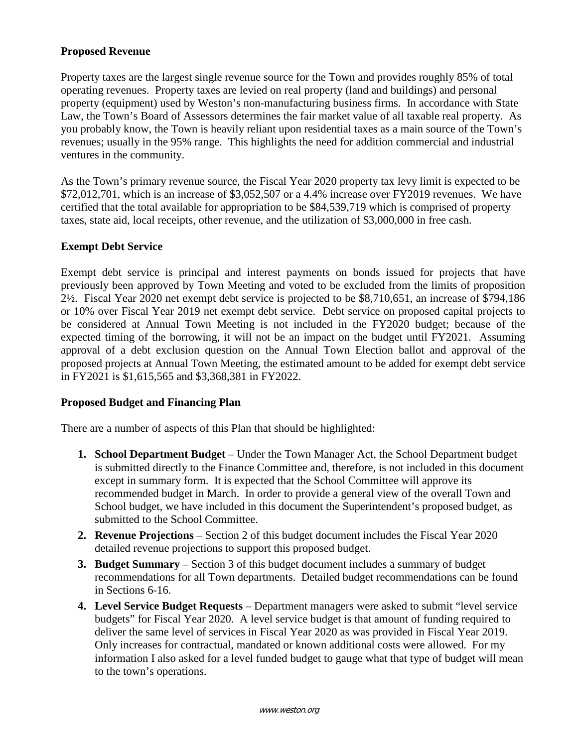## **Proposed Revenue**

Property taxes are the largest single revenue source for the Town and provides roughly 85% of total operating revenues. Property taxes are levied on real property (land and buildings) and personal property (equipment) used by Weston's non-manufacturing business firms. In accordance with State Law, the Town's Board of Assessors determines the fair market value of all taxable real property. As you probably know, the Town is heavily reliant upon residential taxes as a main source of the Town's revenues; usually in the 95% range. This highlights the need for addition commercial and industrial ventures in the community.

As the Town's primary revenue source, the Fiscal Year 2020 property tax levy limit is expected to be \$72,012,701, which is an increase of \$3,052,507 or a 4.4% increase over FY2019 revenues. We have certified that the total available for appropriation to be \$84,539,719 which is comprised of property taxes, state aid, local receipts, other revenue, and the utilization of \$3,000,000 in free cash.

## **Exempt Debt Service**

Exempt debt service is principal and interest payments on bonds issued for projects that have previously been approved by Town Meeting and voted to be excluded from the limits of proposition 2½. Fiscal Year 2020 net exempt debt service is projected to be \$8,710,651, an increase of \$794,186 or 10% over Fiscal Year 2019 net exempt debt service. Debt service on proposed capital projects to be considered at Annual Town Meeting is not included in the FY2020 budget; because of the expected timing of the borrowing, it will not be an impact on the budget until FY2021. Assuming approval of a debt exclusion question on the Annual Town Election ballot and approval of the proposed projects at Annual Town Meeting, the estimated amount to be added for exempt debt service in FY2021 is \$1,615,565 and \$3,368,381 in FY2022.

## **Proposed Budget and Financing Plan**

There are a number of aspects of this Plan that should be highlighted:

- **1. School Department Budget** Under the Town Manager Act, the School Department budget is submitted directly to the Finance Committee and, therefore, is not included in this document except in summary form. It is expected that the School Committee will approve its recommended budget in March. In order to provide a general view of the overall Town and School budget, we have included in this document the Superintendent's proposed budget, as submitted to the School Committee.
- **2. Revenue Projections** Section 2 of this budget document includes the Fiscal Year 2020 detailed revenue projections to support this proposed budget.
- **3. Budget Summary** Section 3 of this budget document includes a summary of budget recommendations for all Town departments. Detailed budget recommendations can be found in Sections 6-16.
- **4. Level Service Budget Requests**  Department managers were asked to submit "level service budgets" for Fiscal Year 2020. A level service budget is that amount of funding required to deliver the same level of services in Fiscal Year 2020 as was provided in Fiscal Year 2019. Only increases for contractual, mandated or known additional costs were allowed. For my information I also asked for a level funded budget to gauge what that type of budget will mean to the town's operations.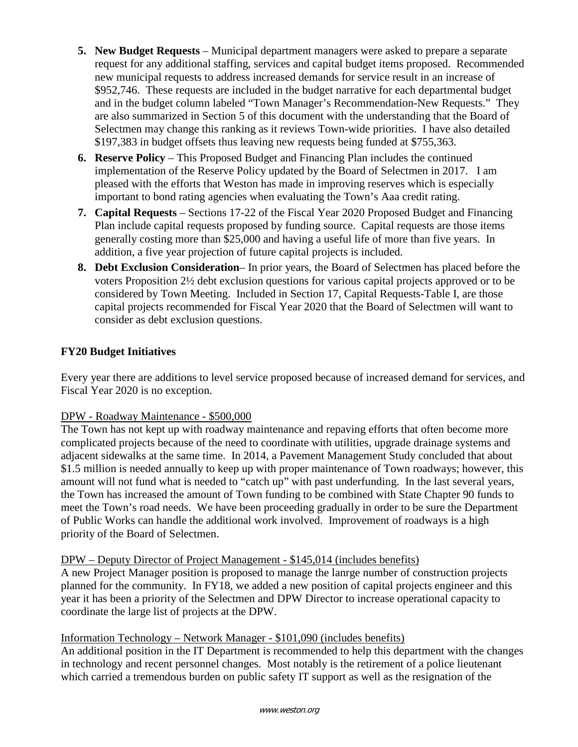- **5. New Budget Requests** Municipal department managers were asked to prepare a separate request for any additional staffing, services and capital budget items proposed. Recommended new municipal requests to address increased demands for service result in an increase of \$952,746. These requests are included in the budget narrative for each departmental budget and in the budget column labeled "Town Manager's Recommendation-New Requests." They are also summarized in Section 5 of this document with the understanding that the Board of Selectmen may change this ranking as it reviews Town-wide priorities. I have also detailed \$197,383 in budget offsets thus leaving new requests being funded at \$755,363.
- **6. Reserve Policy**  This Proposed Budget and Financing Plan includes the continued implementation of the Reserve Policy updated by the Board of Selectmen in 2017. I am pleased with the efforts that Weston has made in improving reserves which is especially important to bond rating agencies when evaluating the Town's Aaa credit rating.
- **7. Capital Requests**  Sections 17-22 of the Fiscal Year 2020 Proposed Budget and Financing Plan include capital requests proposed by funding source. Capital requests are those items generally costing more than \$25,000 and having a useful life of more than five years. In addition, a five year projection of future capital projects is included.
- **8. Debt Exclusion Consideration** In prior years, the Board of Selectmen has placed before the voters Proposition 2½ debt exclusion questions for various capital projects approved or to be considered by Town Meeting. Included in Section 17, Capital Requests-Table I, are those capital projects recommended for Fiscal Year 2020 that the Board of Selectmen will want to consider as debt exclusion questions.

# **FY20 Budget Initiatives**

Every year there are additions to level service proposed because of increased demand for services, and Fiscal Year 2020 is no exception.

# DPW - Roadway Maintenance - \$500,000

The Town has not kept up with roadway maintenance and repaving efforts that often become more complicated projects because of the need to coordinate with utilities, upgrade drainage systems and adjacent sidewalks at the same time. In 2014, a Pavement Management Study concluded that about \$1.5 million is needed annually to keep up with proper maintenance of Town roadways; however, this amount will not fund what is needed to "catch up" with past underfunding. In the last several years, the Town has increased the amount of Town funding to be combined with State Chapter 90 funds to meet the Town's road needs. We have been proceeding gradually in order to be sure the Department of Public Works can handle the additional work involved. Improvement of roadways is a high priority of the Board of Selectmen.

## DPW – Deputy Director of Project Management - \$145,014 (includes benefits)

A new Project Manager position is proposed to manage the lanrge number of construction projects planned for the community. In FY18, we added a new position of capital projects engineer and this year it has been a priority of the Selectmen and DPW Director to increase operational capacity to coordinate the large list of projects at the DPW.

# Information Technology – Network Manager - \$101,090 (includes benefits)

An additional position in the IT Department is recommended to help this department with the changes in technology and recent personnel changes. Most notably is the retirement of a police lieutenant which carried a tremendous burden on public safety IT support as well as the resignation of the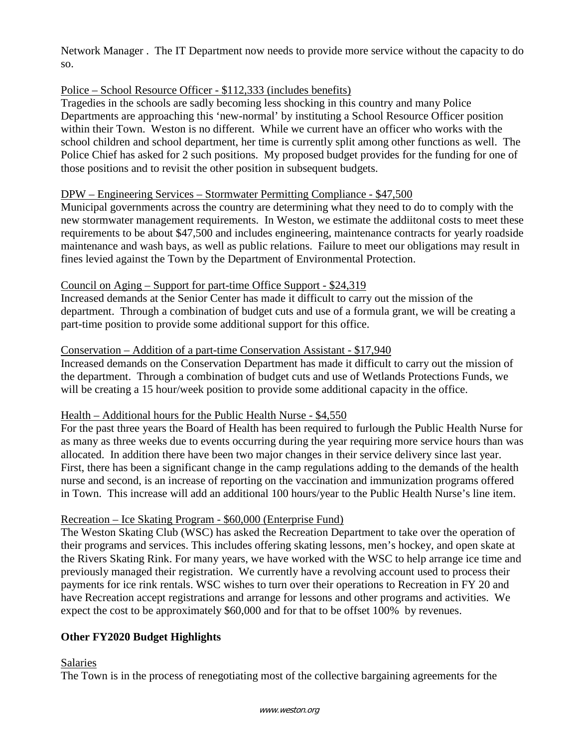Network Manager . The IT Department now needs to provide more service without the capacity to do so.

## Police – School Resource Officer - \$112,333 (includes benefits)

Tragedies in the schools are sadly becoming less shocking in this country and many Police Departments are approaching this 'new-normal' by instituting a School Resource Officer position within their Town. Weston is no different. While we current have an officer who works with the school children and school department, her time is currently split among other functions as well. The Police Chief has asked for 2 such positions. My proposed budget provides for the funding for one of those positions and to revisit the other position in subsequent budgets.

## DPW – Engineering Services – Stormwater Permitting Compliance - \$47,500

Municipal governments across the country are determining what they need to do to comply with the new stormwater management requirements. In Weston, we estimate the addiitonal costs to meet these requirements to be about \$47,500 and includes engineering, maintenance contracts for yearly roadside maintenance and wash bays, as well as public relations. Failure to meet our obligations may result in fines levied against the Town by the Department of Environmental Protection.

## Council on Aging – Support for part-time Office Support - \$24,319

Increased demands at the Senior Center has made it difficult to carry out the mission of the department. Through a combination of budget cuts and use of a formula grant, we will be creating a part-time position to provide some additional support for this office.

## Conservation – Addition of a part-time Conservation Assistant - \$17,940

Increased demands on the Conservation Department has made it difficult to carry out the mission of the department. Through a combination of budget cuts and use of Wetlands Protections Funds, we will be creating a 15 hour/week position to provide some additional capacity in the office.

## Health – Additional hours for the Public Health Nurse - \$4,550

For the past three years the Board of Health has been required to furlough the Public Health Nurse for as many as three weeks due to events occurring during the year requiring more service hours than was allocated. In addition there have been two major changes in their service delivery since last year. First, there has been a significant change in the camp regulations adding to the demands of the health nurse and second, is an increase of reporting on the vaccination and immunization programs offered in Town. This increase will add an additional 100 hours/year to the Public Health Nurse's line item.

## Recreation – Ice Skating Program - \$60,000 (Enterprise Fund)

The Weston Skating Club (WSC) has asked the Recreation Department to take over the operation of their programs and services. This includes offering skating lessons, men's hockey, and open skate at the Rivers Skating Rink. For many years, we have worked with the WSC to help arrange ice time and previously managed their registration. We currently have a revolving account used to process their payments for ice rink rentals. WSC wishes to turn over their operations to Recreation in FY 20 and have Recreation accept registrations and arrange for lessons and other programs and activities. We expect the cost to be approximately \$60,000 and for that to be offset 100% by revenues.

# **Other FY2020 Budget Highlights**

## Salaries

The Town is in the process of renegotiating most of the collective bargaining agreements for the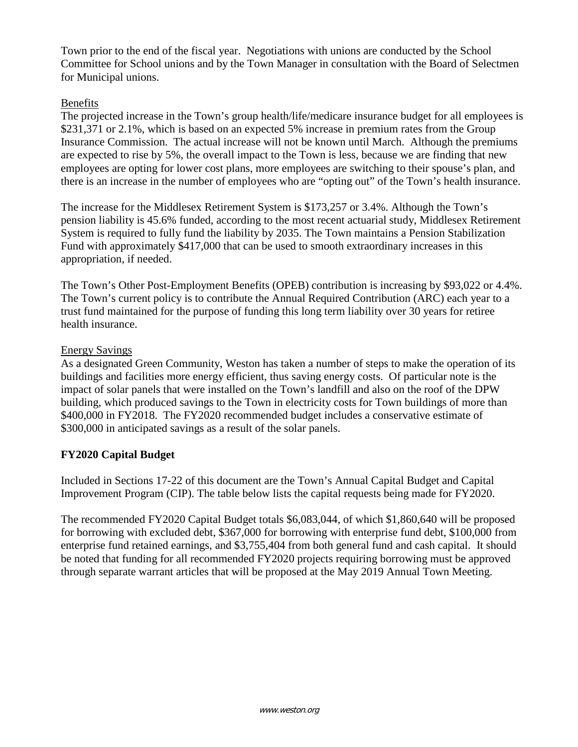Town prior to the end of the fiscal year. Negotiations with unions are conducted by the School Committee for School unions and by the Town Manager in consultation with the Board of Selectmen for Municipal unions.

## Benefits

The projected increase in the Town's group health/life/medicare insurance budget for all employees is \$231,371 or 2.1%, which is based on an expected 5% increase in premium rates from the Group Insurance Commission. The actual increase will not be known until March. Although the premiums are expected to rise by 5%, the overall impact to the Town is less, because we are finding that new employees are opting for lower cost plans, more employees are switching to their spouse's plan, and there is an increase in the number of employees who are "opting out" of the Town's health insurance.

The increase for the Middlesex Retirement System is \$173,257 or 3.4%. Although the Town's pension liability is 45.6% funded, according to the most recent actuarial study, Middlesex Retirement System is required to fully fund the liability by 2035. The Town maintains a Pension Stabilization Fund with approximately \$417,000 that can be used to smooth extraordinary increases in this appropriation, if needed.

The Town's Other Post-Employment Benefits (OPEB) contribution is increasing by \$93,022 or 4.4%. The Town's current policy is to contribute the Annual Required Contribution (ARC) each year to a trust fund maintained for the purpose of funding this long term liability over 30 years for retiree health insurance.

## Energy Savings

As a designated Green Community, Weston has taken a number of steps to make the operation of its buildings and facilities more energy efficient, thus saving energy costs. Of particular note is the impact of solar panels that were installed on the Town's landfill and also on the roof of the DPW building, which produced savings to the Town in electricity costs for Town buildings of more than \$400,000 in FY2018. The FY2020 recommended budget includes a conservative estimate of \$300,000 in anticipated savings as a result of the solar panels.

# **FY2020 Capital Budget**

Included in Sections 17-22 of this document are the Town's Annual Capital Budget and Capital Improvement Program (CIP). The table below lists the capital requests being made for FY2020.

The recommended FY2020 Capital Budget totals \$6,083,044, of which \$1,860,640 will be proposed for borrowing with excluded debt, \$367,000 for borrowing with enterprise fund debt, \$100,000 from enterprise fund retained earnings, and \$3,755,404 from both general fund and cash capital. It should be noted that funding for all recommended FY2020 projects requiring borrowing must be approved through separate warrant articles that will be proposed at the May 2019 Annual Town Meeting.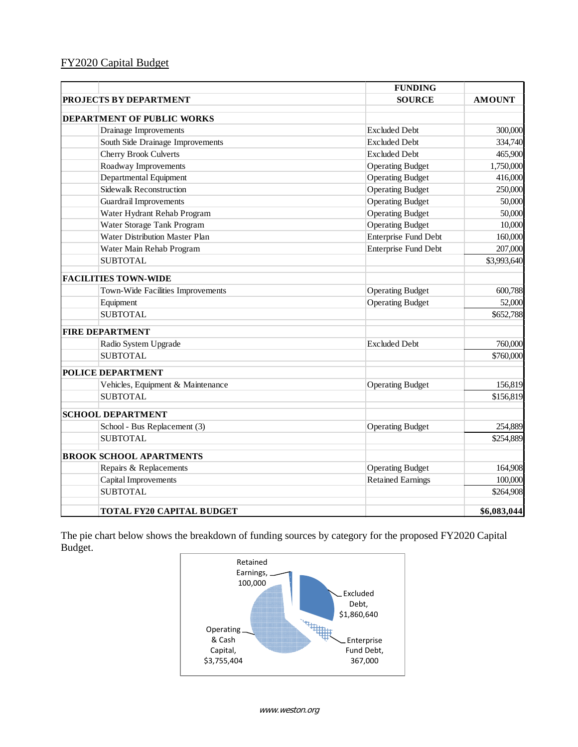# FY2020 Capital Budget

|                                   | <b>FUNDING</b>              |               |
|-----------------------------------|-----------------------------|---------------|
| <b>PROJECTS BY DEPARTMENT</b>     | <b>SOURCE</b>               | <b>AMOUNT</b> |
|                                   |                             |               |
| <b>DEPARTMENT OF PUBLIC WORKS</b> |                             |               |
| Drainage Improvements             | <b>Excluded Debt</b>        | 300,000       |
| South Side Drainage Improvements  | <b>Excluded Debt</b>        | 334,740       |
| <b>Cherry Brook Culverts</b>      | <b>Excluded Debt</b>        | 465,900       |
| Roadway Improvements              | <b>Operating Budget</b>     | 1,750,000     |
| Departmental Equipment            | <b>Operating Budget</b>     | 416,000       |
| Sidewalk Reconstruction           | <b>Operating Budget</b>     | 250,000       |
| <b>Guardrail Improvements</b>     | <b>Operating Budget</b>     | 50,000        |
| Water Hydrant Rehab Program       | <b>Operating Budget</b>     | 50,000        |
| Water Storage Tank Program        | <b>Operating Budget</b>     | 10,000        |
| Water Distribution Master Plan    | <b>Enterprise Fund Debt</b> | 160,000       |
| Water Main Rehab Program          | <b>Enterprise Fund Debt</b> | 207,000       |
| <b>SUBTOTAL</b>                   |                             | \$3,993,640   |
| <b>FACILITIES TOWN-WIDE</b>       |                             |               |
| Town-Wide Facilities Improvements | <b>Operating Budget</b>     | 600,788       |
| Equipment                         | <b>Operating Budget</b>     | 52,000        |
| <b>SUBTOTAL</b>                   |                             | \$652,788     |
| <b>FIRE DEPARTMENT</b>            |                             |               |
| Radio System Upgrade              | <b>Excluded Debt</b>        | 760,000       |
| <b>SUBTOTAL</b>                   |                             | \$760,000     |
| <b>POLICE DEPARTMENT</b>          |                             |               |
| Vehicles, Equipment & Maintenance | <b>Operating Budget</b>     | 156,819       |
| <b>SUBTOTAL</b>                   |                             | \$156,819     |
| <b>SCHOOL DEPARTMENT</b>          |                             |               |
| School - Bus Replacement (3)      | <b>Operating Budget</b>     | 254,889       |
| <b>SUBTOTAL</b>                   |                             | \$254,889     |
| <b>BROOK SCHOOL APARTMENTS</b>    |                             |               |
| Repairs & Replacements            | <b>Operating Budget</b>     | 164,908       |
| Capital Improvements              | <b>Retained Earnings</b>    | 100,000       |
| <b>SUBTOTAL</b>                   |                             | \$264,908     |
| TOTAL FY20 CAPITAL BUDGET         |                             | \$6,083,044   |

The pie chart below shows the breakdown of funding sources by category for the proposed FY2020 Capital Budget.

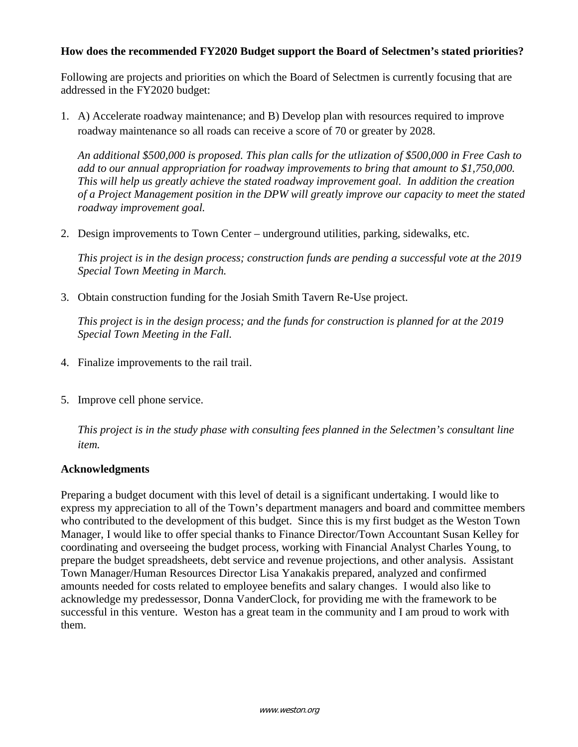## **How does the recommended FY2020 Budget support the Board of Selectmen's stated priorities?**

Following are projects and priorities on which the Board of Selectmen is currently focusing that are addressed in the FY2020 budget:

1. A) Accelerate roadway maintenance; and B) Develop plan with resources required to improve roadway maintenance so all roads can receive a score of 70 or greater by 2028.

*An additional \$500,000 is proposed. This plan calls for the utlization of \$500,000 in Free Cash to add to our annual appropriation for roadway improvements to bring that amount to \$1,750,000. This will help us greatly achieve the stated roadway improvement goal. In addition the creation of a Project Management position in the DPW will greatly improve our capacity to meet the stated roadway improvement goal.*

2. Design improvements to Town Center – underground utilities, parking, sidewalks, etc.

*This project is in the design process; construction funds are pending a successful vote at the 2019 Special Town Meeting in March.*

3. Obtain construction funding for the Josiah Smith Tavern Re-Use project.

*This project is in the design process; and the funds for construction is planned for at the 2019 Special Town Meeting in the Fall.*

- 4. Finalize improvements to the rail trail.
- 5. Improve cell phone service.

*This project is in the study phase with consulting fees planned in the Selectmen's consultant line item.*

## **Acknowledgments**

Preparing a budget document with this level of detail is a significant undertaking. I would like to express my appreciation to all of the Town's department managers and board and committee members who contributed to the development of this budget. Since this is my first budget as the Weston Town Manager, I would like to offer special thanks to Finance Director/Town Accountant Susan Kelley for coordinating and overseeing the budget process, working with Financial Analyst Charles Young, to prepare the budget spreadsheets, debt service and revenue projections, and other analysis. Assistant Town Manager/Human Resources Director Lisa Yanakakis prepared, analyzed and confirmed amounts needed for costs related to employee benefits and salary changes. I would also like to acknowledge my predessessor, Donna VanderClock, for providing me with the framework to be successful in this venture. Weston has a great team in the community and I am proud to work with them.